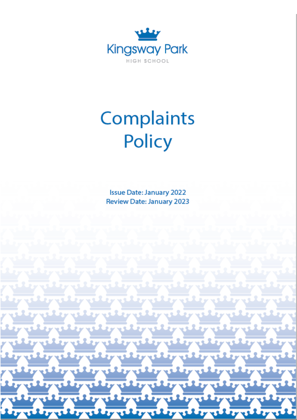

# Complaints Policy

**Issue Date: January 2022 Review Date: January 2023**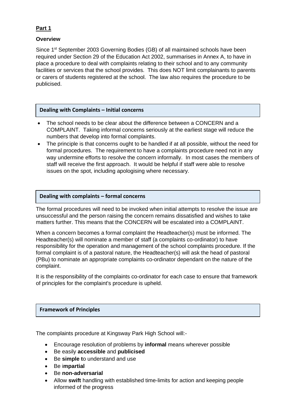# **Part 1**

# **Overview**

Since 1<sup>st</sup> September 2003 Governing Bodies (GB) of all maintained schools have been required under Section 29 of the Education Act 2002, summarises in Annex A, to have in place a procedure to deal with complaints relating to their school and to any community facilities or services that the school provides. This does NOT limit complainants to parents or carers of students registered at the school. The law also requires the procedure to be publicised.

# **Dealing with Complaints – Initial concerns**

- The school needs to be clear about the difference between a CONCERN and a COMPLAINT. Taking informal concerns seriously at the earliest stage will reduce the numbers that develop into formal complaints.
- The principle is that concerns ought to be handled if at all possible, without the need for formal procedures. The requirement to have a complaints procedure need not in any way undermine efforts to resolve the concern informally. In most cases the members of staff will receive the first approach. It would be helpful if staff were able to resolve issues on the spot, including apologising where necessary.

# **Dealing with complaints – formal concerns**

The formal procedures will need to be invoked when initial attempts to resolve the issue are unsuccessful and the person raising the concern remains dissatisfied and wishes to take matters further. This means that the CONCERN will be escalated into a COMPLAINT.

When a concern becomes a formal complaint the Headteacher(s) must be informed. The Headteacher(s) will nominate a member of staff (a complaints co-ordinator) to have responsibility for the operation and management of the school complaints procedure. If the formal complaint is of a pastoral nature, the Headteacher(s) will ask the head of pastoral (PBu) to nominate an appropriate complaints co-ordinator dependant on the nature of the complaint.

It is the responsibility of the complaints co-ordinator for each case to ensure that framework of principles for the complaint's procedure is upheld.

## **Framework of Principles**

The complaints procedure at Kingsway Park High School will:-

- Encourage resolution of problems by **informal** means wherever possible
- Be easily **accessible** and **publicised**
- Be **simple t**o understand and use
- Be i**mpartial**
- Be **non-adversarial**
- Allow **swift** handling with established time-limits for action and keeping people informed of the progress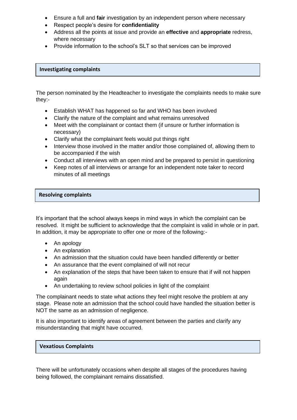- Ensure a full and **fair** investigation by an independent person where necessary
- Respect people's desire for **confidentiality**
- Address all the points at issue and provide an **effective** and **appropriate** redress, where necessary
- Provide information to the school's SLT so that services can be improved

# **Investigating complaints**

The person nominated by the Headteacher to investigate the complaints needs to make sure they:-

- Establish WHAT has happened so far and WHO has been involved
- Clarify the nature of the complaint and what remains unresolved
- Meet with the complainant or contact them (if unsure or further information is necessary)
- Clarify what the complainant feels would put things right
- Interview those involved in the matter and/or those complained of, allowing them to be accompanied if the wish
- Conduct all interviews with an open mind and be prepared to persist in questioning
- Keep notes of all interviews or arrange for an independent note taker to record minutes of all meetings

## **Resolving complaints**

It's important that the school always keeps in mind ways in which the complaint can be resolved. It might be sufficient to acknowledge that the complaint is valid in whole or in part. In addition, it may be appropriate to offer one or more of the following:-

- An apology
- An explanation
- An admission that the situation could have been handled differently or better
- An assurance that the event complained of will not recur
- An explanation of the steps that have been taken to ensure that if will not happen again
- An undertaking to review school policies in light of the complaint

The complainant needs to state what actions they feel might resolve the problem at any stage. Please note an admission that the school could have handled the situation better is NOT the same as an admission of negligence.

It is also important to identify areas of agreement between the parties and clarify any misunderstanding that might have occurred.

## **Vexatious Complaints**

There will be unfortunately occasions when despite all stages of the procedures having being followed, the complainant remains dissatisfied.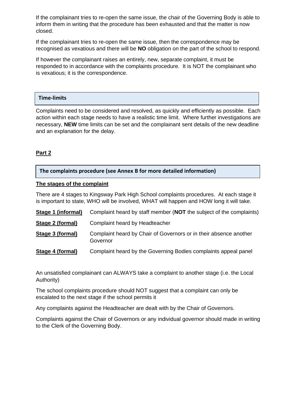If the complainant tries to re-open the same issue, the chair of the Governing Body is able to inform them in writing that the procedure has been exhausted and that the matter is now closed.

If the complainant tries to re-open the same issue, then the correspondence may be recognised as vexatious and there will be **NO** obligation on the part of the school to respond.

If however the complainant raises an entirely, new, separate complaint, it must be responded to in accordance with the complaints procedure. It is NOT the complainant who is vexatious; it is the correspondence.

#### **Time-limits**

Complaints need to be considered and resolved, as quickly and efficiently as possible. Each action within each stage needs to have a realistic time limit. Where further investigations are necessary, **NEW** time limits can be set and the complainant sent details of the new deadline and an explanation for the delay.

# **Part 2**

## **The complaints procedure (see Annex B for more detailed information)**

#### **The stages of the complaint**

There are 4 stages to Kingsway Park High School complaints procedures. At each stage it is important to state, WHO will be involved, WHAT will happen and HOW long it will take.

| Stage 1 (informal) | Complaint heard by staff member (NOT the subject of the complaints)           |
|--------------------|-------------------------------------------------------------------------------|
| Stage 2 (formal)   | Complaint heard by Headteacher                                                |
| Stage 3 (formal)   | Complaint heard by Chair of Governors or in their absence another<br>Governor |
| Stage 4 (formal)   | Complaint heard by the Governing Bodies complaints appeal panel               |

An unsatisfied complainant can ALWAYS take a complaint to another stage (i.e. the Local Authority)

The school complaints procedure should NOT suggest that a complaint can only be escalated to the next stage if the school permits it

Any complaints against the Headteacher are dealt with by the Chair of Governors.

Complaints against the Chair of Governors or any individual governor should made in writing to the Clerk of the Governing Body.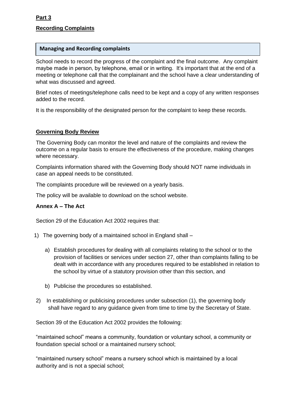# **Recording Complaints**

#### **Managing and Recording complaints**

School needs to record the progress of the complaint and the final outcome. Any complaint maybe made in person, by telephone, email or in writing. It's important that at the end of a meeting or telephone call that the complainant and the school have a clear understanding of what was discussed and agreed.

Brief notes of meetings/telephone calls need to be kept and a copy of any written responses added to the record.

It is the responsibility of the designated person for the complaint to keep these records.

## **Governing Body Review**

The Governing Body can monitor the level and nature of the complaints and review the outcome on a regular basis to ensure the effectiveness of the procedure, making changes where necessary.

Complaints information shared with the Governing Body should NOT name individuals in case an appeal needs to be constituted.

The complaints procedure will be reviewed on a yearly basis.

The policy will be available to download on the school website.

## **Annex A – The Act**

Section 29 of the Education Act 2002 requires that:

- 1) The governing body of a maintained school in England shall
	- a) Establish procedures for dealing with all complaints relating to the school or to the provision of facilities or services under section 27, other than complaints falling to be dealt with in accordance with any procedures required to be established in relation to the school by virtue of a statutory provision other than this section, and
	- b) Publicise the procedures so established.
- 2) In establishing or publicising procedures under subsection (1), the governing body shall have regard to any guidance given from time to time by the Secretary of State.

Section 39 of the Education Act 2002 provides the following:

"maintained school" means a community, foundation or voluntary school, a community or foundation special school or a maintained nursery school;

"maintained nursery school" means a nursery school which is maintained by a local authority and is not a special school;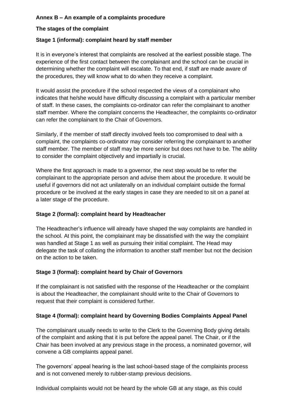# **Annex B – An example of a complaints procedure**

# **The stages of the complaint**

# **Stage 1 (informal): complaint heard by staff member**

It is in everyone's interest that complaints are resolved at the earliest possible stage. The experience of the first contact between the complainant and the school can be crucial in determining whether the complaint will escalate. To that end, if staff are made aware of the procedures, they will know what to do when they receive a complaint.

It would assist the procedure if the school respected the views of a complainant who indicates that he/she would have difficulty discussing a complaint with a particular member of staff. In these cases, the complaints co-ordinator can refer the complainant to another staff member. Where the complaint concerns the Headteacher, the complaints co-ordinator can refer the complainant to the Chair of Governors.

Similarly, if the member of staff directly involved feels too compromised to deal with a complaint, the complaints co-ordinator may consider referring the complainant to another staff member. The member of staff may be more senior but does not have to be. The ability to consider the complaint objectively and impartially is crucial.

Where the first approach is made to a governor, the next step would be to refer the complainant to the appropriate person and advise them about the procedure. It would be useful if governors did not act unilaterally on an individual complaint outside the formal procedure or be involved at the early stages in case they are needed to sit on a panel at a later stage of the procedure.

## **Stage 2 (formal): complaint heard by Headteacher**

The Headteacher's influence will already have shaped the way complaints are handled in the school. At this point, the complainant may be dissatisfied with the way the complaint was handled at Stage 1 as well as pursuing their initial complaint. The Head may delegate the task of collating the information to another staff member but not the decision on the action to be taken.

## **Stage 3 (formal): complaint heard by Chair of Governors**

If the complainant is not satisfied with the response of the Headteacher or the complaint is about the Headteacher, the complainant should write to the Chair of Governors to request that their complaint is considered further.

## **Stage 4 (formal): complaint heard by Governing Bodies Complaints Appeal Panel**

The complainant usually needs to write to the Clerk to the Governing Body giving details of the complaint and asking that it is put before the appeal panel. The Chair, or if the Chair has been involved at any previous stage in the process, a nominated governor, will convene a GB complaints appeal panel.

The governors' appeal hearing is the last school-based stage of the complaints process and is not convened merely to rubber-stamp previous decisions.

Individual complaints would not be heard by the whole GB at any stage, as this could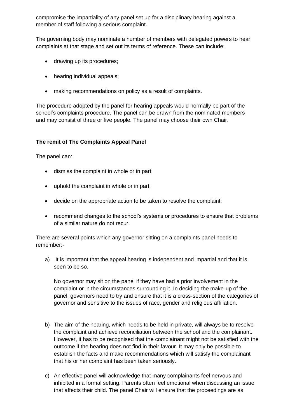compromise the impartiality of any panel set up for a disciplinary hearing against a member of staff following a serious complaint.

The governing body may nominate a number of members with delegated powers to hear complaints at that stage and set out its terms of reference. These can include:

- drawing up its procedures;
- hearing individual appeals;
- making recommendations on policy as a result of complaints.

The procedure adopted by the panel for hearing appeals would normally be part of the school's complaints procedure. The panel can be drawn from the nominated members and may consist of three or five people. The panel may choose their own Chair.

# **The remit of The Complaints Appeal Panel**

The panel can:

- dismiss the complaint in whole or in part;
- uphold the complaint in whole or in part;
- decide on the appropriate action to be taken to resolve the complaint;
- recommend changes to the school's systems or procedures to ensure that problems of a similar nature do not recur.

There are several points which any governor sitting on a complaints panel needs to remember:-

a) It is important that the appeal hearing is independent and impartial and that it is seen to be so.

No governor may sit on the panel if they have had a prior involvement in the complaint or in the circumstances surrounding it. In deciding the make-up of the panel, governors need to try and ensure that it is a cross-section of the categories of governor and sensitive to the issues of race, gender and religious affiliation.

- b) The aim of the hearing, which needs to be held in private, will always be to resolve the complaint and achieve reconciliation between the school and the complainant. However, it has to be recognised that the complainant might not be satisfied with the outcome if the hearing does not find in their favour. It may only be possible to establish the facts and make recommendations which will satisfy the complainant that his or her complaint has been taken seriously.
- c) An effective panel will acknowledge that many complainants feel nervous and inhibited in a formal setting. Parents often feel emotional when discussing an issue that affects their child. The panel Chair will ensure that the proceedings are as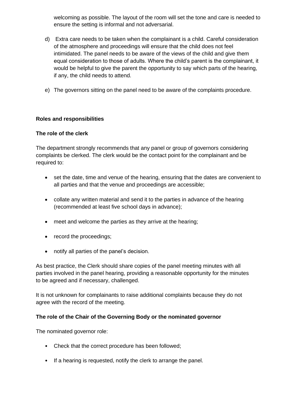welcoming as possible. The layout of the room will set the tone and care is needed to ensure the setting is informal and not adversarial.

- d) Extra care needs to be taken when the complainant is a child. Careful consideration of the atmosphere and proceedings will ensure that the child does not feel intimidated. The panel needs to be aware of the views of the child and give them equal consideration to those of adults. Where the child's parent is the complainant, it would be helpful to give the parent the opportunity to say which parts of the hearing, if any, the child needs to attend.
- e) The governors sitting on the panel need to be aware of the complaints procedure.

# **Roles and responsibilities**

## **The role of the clerk**

The department strongly recommends that any panel or group of governors considering complaints be clerked. The clerk would be the contact point for the complainant and be required to:

- set the date, time and venue of the hearing, ensuring that the dates are convenient to all parties and that the venue and proceedings are accessible;
- collate any written material and send it to the parties in advance of the hearing (recommended at least five school days in advance);
- meet and welcome the parties as they arrive at the hearing;
- record the proceedings;
- notify all parties of the panel's decision.

As best practice, the Clerk should share copies of the panel meeting minutes with all parties involved in the panel hearing, providing a reasonable opportunity for the minutes to be agreed and if necessary, challenged.

It is not unknown for complainants to raise additional complaints because they do not agree with the record of the meeting.

## **The role of the Chair of the Governing Body or the nominated governor**

The nominated governor role:

- Check that the correct procedure has been followed;
- If a hearing is requested, notify the clerk to arrange the panel.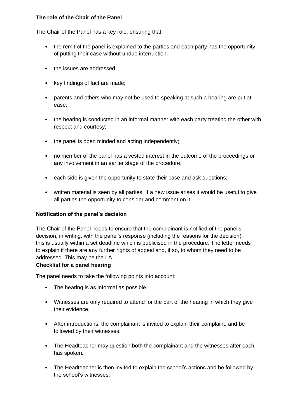# **The role of the Chair of the Panel**

The Chair of the Panel has a key role, ensuring that:

- the remit of the panel is explained to the parties and each party has the opportunity of putting their case without undue interruption;
- the issues are addressed;
- key findings of fact are made;
- parents and others who may not be used to speaking at such a hearing are put at ease;
- the hearing is conducted in an informal manner with each party treating the other with respect and courtesy;
- the panel is open minded and acting independently;
- no member of the panel has a vested interest in the outcome of the proceedings or any involvement in an earlier stage of the procedure;
- each side is given the opportunity to state their case and ask questions:
- written material is seen by all parties. If a new issue arises it would be useful to give all parties the opportunity to consider and comment on it.

# **Notification of the panel's decision**

The Chair of the Panel needs to ensure that the complainant is notified of the panel's decision, in writing, with the panel's response (including the reasons for the decision); this is usually within a set deadline which is publicised in the procedure. The letter needs to explain if there are any further rights of appeal and, if so, to whom they need to be addressed. This may be the LA.

# **Checklist for a panel hearing**

The panel needs to take the following points into account:

- The hearing is as informal as possible.
- Witnesses are only required to attend for the part of the hearing in which they give their evidence.
- After introductions, the complainant is invited to explain their complaint, and be followed by their witnesses.
- The Headteacher may question both the complainant and the witnesses after each has spoken.
- The Headteacher is then invited to explain the school's actions and be followed by the school's witnesses.